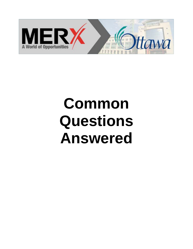

# **Common Questions Answered**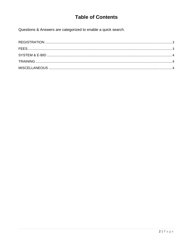## **Table of Contents**

Questions & Answers are categorized to enable a quick search.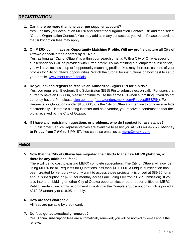## **REGISTRATION**

### **1. Can there be more than one user per supplier account?**

Yes. Log into your account on MERX and select the "Organization Contact List" and then select "Create Organization Contact". You may add as many contacts as you wish. Please be advised that subscription fees may apply.

**2. On MERX.com, I have an Opportunity Matching Profile. Will my profile capture all City of Ottawa opportunities hosted by MERX?** 

Yes, as long as "City of Ottawa" is within your search criteria. With a City of Ottawa specific subscription you will be provided with 1 free profile. By maintaining a "Complete" subscription, you will have access to up to 9 opportunity matching profiles. You may therefore use one of your profiles for City of Ottawa opportunities. Watch the tutorial for instructions on how best to setup your profile. www.merx.com/tutorials

#### **3. Do you have to register to receive an Authorized Signer PIN for e-bids?**

Yes, you require an Electronic Bid Submission (EBS) Pin to submit electronically. For users that currently have an EBS Pin, please continue to use the same PIN when submitting. If you do not currently have a Pin, please sign up here. (http://tenders.merx.com/RequestEBSPIN). For Requests for Quotations under \$100,000, it is the City of Ottawa's intention to only receive bids electronically. Electronic bidding is faster and as a vendor, you receive a confirmation that the bid is received by the City of Ottawa.

**4. If I have any registration questions or problems, who do I contact for assistance?**  Our Customer Service Representatives are available to assist you at 1-800-964-6379, **Monday to Friday from 7 AM to 8 PM ET**. You can also email us at **merx@merx.com**.

## **FEES**

**5. Now that the City of Ottawa has migrated their RFQs to the new MERX platform, will there be any additional fees?** 

There will be no cost to existing MERX complete subscribers. The City of Ottawa will now be using MERX for all Requests for Quotations less than \$100,000. A unique subscription has been created for vendors who only want to access those projects. It is priced at \$89.90 for an annual subscription or \$9.95 for monthly access (including Electronic Bid Submission). If you also intend on bidding on other City of Ottawa opportunities or other opportunities on MERX Public Tenders, we highly recommend investing in the Complete Subscription which is priced at \$219.95 annually or \$19.95 monthly.

#### **6. How are fees charged?**

All fees are payable by credit card.

**7. Do fees get automatically renewed?** 

Yes. Annual subscription fees are automatically renewed; you will be notified by email about the renewal.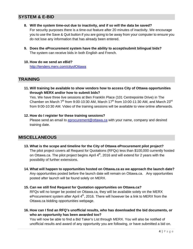## **SYSTEM & E-BID**

- **8. Will the system time-out due to inactivity, and if so will the data be saved?**  For security purposes there is a time-out feature after 20 minutes of inactivity. We encourage you to use the Save & Quit button if you are going to be away from your computer to ensure you do not lose any information that has already been entered.
- **9. Does the eProcurement system have the ability to accept/submit bilingual bids?**  The system can receive bids in both English and French.
- **10. How do we send an eBid?**  http://tenders.merx.com/cityofOttawa

## **TRAINING**

**11. Will training be available to show vendors how to access City of Ottawa opportunities through MERX and/or how to submit bids?** 

Yes. We have three live sessions at Ben Franklin Place (101 Centrepointe Drive) in The Chamber on March  $7<sup>th</sup>$  from 9:00-10:30 AM, March  $17<sup>th</sup>$  from 10:00-11:30 AM, and March  $23<sup>rd</sup>$ from 9:00-10:30 AM. Video of the training sessions will be available to view online afterwards.

## **12. How do I register for these training sessions?**

Please send an email to eprocurement@ottawa.ca with your name, company and desired training date.

## **MISCELLANEOUS**

- **13. What is the scope and timeline for the City of Ottawa eProcurement pilot project?**  The pilot project covers all Request for Quotations (RFQs) less than \$100,000 currently hosted on Ottawa.ca. The pilot project begins April 4<sup>th</sup>, 2016 and will extend for 2 years with the possibility of further extensions.
- **14. What will happen to opportunities hosted on Ottawa.ca as we approach the launch date?**  Any opportunities posted before the launch date will remain on Ottawa.ca. Any opportunities posted after launch will be found solely on MERX.
- **15. Can we still find Request for Quotation opportunities on Ottawa.ca?**

RFQs will no longer be posted on Ottawa.ca, they will be available solely on the MERX eProcurement system after April  $4<sup>th</sup>$ , 2016. There will however be a link to MERX from the Ottawa.ca bidding opportunities webpage.

**16. How can I find an RFQ's unofficial results, who has downloaded the bid documents, or who an opportunity has been awarded too?** 

You will now be able to find a Bid Taker's List through MERX. You will also be notified of unofficial results and award of any opportunity you are following, or have submitted a bid on.